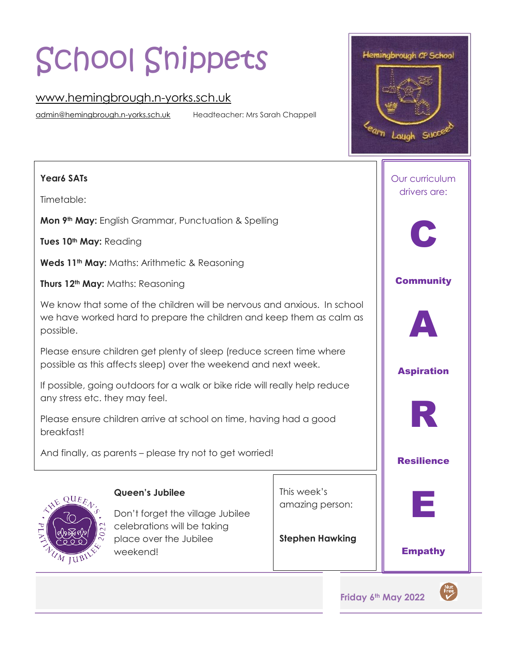# School Snippets

# [www.hemingbrough.n-yorks.sch.uk](http://www.hemingbrough.n-yorks.sch.uk/)

[admin@hemingbrough.n-yorks.sch.uk](mailto:admin@hemingbrough.n-yorks.sch.uk) Headteacher: Mrs Sarah Chappell

#### **Year6 SATs**

Timetable:

**Mon 9th May:** English Grammar, Punctuation & Spelling

**Tues 10th May:** Reading

**Weds 11th May:** Maths: Arithmetic & Reasoning

**Thurs 12th May:** Maths: Reasoning

We know that some of the children will be nervous and anxious. In school we have worked hard to prepare the children and keep them as calm as possible.

Please ensure children get plenty of sleep (reduce screen time where possible as this affects sleep) over the weekend and next week.

If possible, going outdoors for a walk or bike ride will really help reduce any stress etc. they may feel.

Please ensure children arrive at school on time, having had a good breakfast!

And finally, as parents – please try not to get worried!



#### **Queen's Jubilee**

Don't forget the village Jubilee celebrations will be taking place over the Jubilee weekend!

This week's amazing person:

**Stephen Hawking**





**Friday 6th May 2022** 

 $Free$